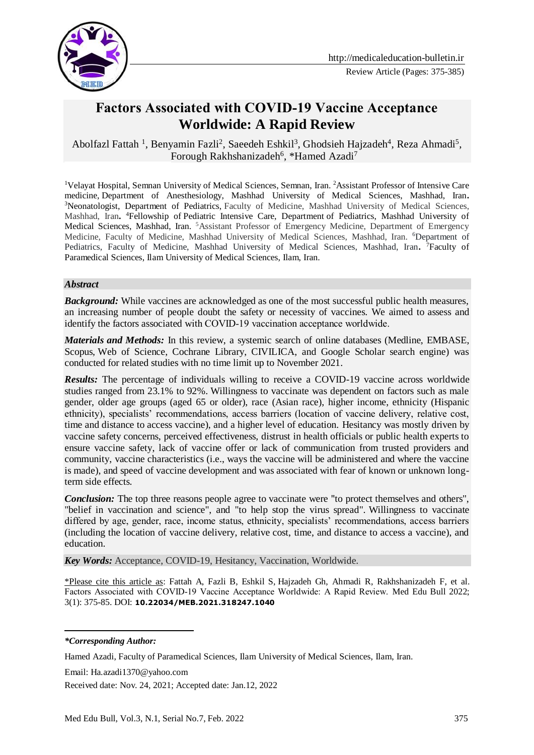

# **Factors Associated with COVID‐19 Vaccine Acceptance Worldwide: A Rapid Review**

Abolfazl Fattah <sup>1</sup>, Benyamin Fazli<sup>2</sup>, Saeedeh Eshkil<sup>3</sup>, Ghodsieh Hajzadeh<sup>4</sup>, Reza Ahmadi<sup>5</sup>, Forough Rakhshanizadeh<sup>6</sup>, \*Hamed Azadi<sup>7</sup>

<sup>1</sup>Velayat Hospital, Semnan University of Medical Sciences, Semnan, Iran. <sup>2</sup>Assistant Professor of Intensive Care medicine, Department of Anesthesiology, Mashhad University of Medical Sciences, Mashhad, Iran**.**  <sup>3</sup>Neonatologist, Department of Pediatrics, Faculty of Medicine, Mashhad University of Medical Sciences, Mashhad, Iran**.**  <sup>4</sup>Fellowship of Pediatric Intensive Care, Department of Pediatrics, Mashhad University of Medical Sciences, Mashhad, Iran. <sup>5</sup>Assistant Professor of Emergency Medicine, Department of Emergency Medicine, Faculty of Medicine, Mashhad University of Medical Sciences, Mashhad, Iran. <sup>6</sup>Department of Pediatrics, Faculty of Medicine, Mashhad University of Medical Sciences, Mashhad, Iran**.**  <sup>7</sup>Faculty of Paramedical Sciences, Ilam University of Medical Sciences, Ilam, Iran.

#### *Abstract*

*Background:* While vaccines are acknowledged as one of the most successful public health measures, an increasing number of people doubt the safety or necessity of vaccines. We aimed to assess and identify the factors associated with COVID‐19 vaccination acceptance worldwide.

*Materials and Methods:* In this review, a systemic search of online databases (Medline, EMBASE, Scopus, Web of Science, Cochrane Library, CIVILICA, and Google Scholar search engine) was conducted for related studies with no time limit up to November 2021.

*Results:* The percentage of individuals willing to receive a COVID-19 vaccine across worldwide studies ranged from 23.1% to 92%. Willingness to vaccinate was dependent on factors such as male gender, older age groups (aged 65 or older), race (Asian race), higher income, ethnicity (Hispanic ethnicity), specialists' recommendations, access barriers (location of vaccine delivery, relative cost, time and distance to access vaccine), and a higher level of education. Hesitancy was mostly driven by vaccine safety concerns, perceived effectiveness, distrust in health officials or public health experts to ensure vaccine safety, lack of vaccine offer or lack of communication from trusted providers and community, vaccine characteristics (i.e., ways the vaccine will be administered and where the vaccine is made), and speed of vaccine development and was associated with fear of known or unknown longterm side effects.

*Conclusion:* The top three reasons people agree to vaccinate were "to protect themselves and others", "belief in vaccination and science", and "to help stop the virus spread". Willingness to vaccinate differed by age, gender, race, income status, ethnicity, specialists' recommendations, access barriers (including the location of vaccine delivery, relative cost, time, and distance to access a vaccine), and education.

*Key Words:* Acceptance, COVID-19, Hesitancy, Vaccination, Worldwide.

\*Please cite this article as: Fattah A, Fazli B, Eshkil S, Hajzadeh Gh, Ahmadi R, Rakhshanizadeh F, et al. Factors Associated with COVID-19 Vaccine Acceptance Worldwide: A Rapid Review. Med Edu Bull 2022; 3(1): 375-85. DOI: **[10.22034/MEB.2021.318247.1040](https://dx.doi.org/10.22034/meb.2021.318247.1040)**

<u>.</u>

Email: [Ha.azadi1370@yahoo.com](mailto:Ha.azadi1370@yahoo.com)

Received date: Nov. 24, 2021; Accepted date: Jan.12, 2022

*<sup>\*</sup>Corresponding Author:*

Hamed Azadi, Faculty of Paramedical Sciences, Ilam University of Medical Sciences, Ilam, Iran.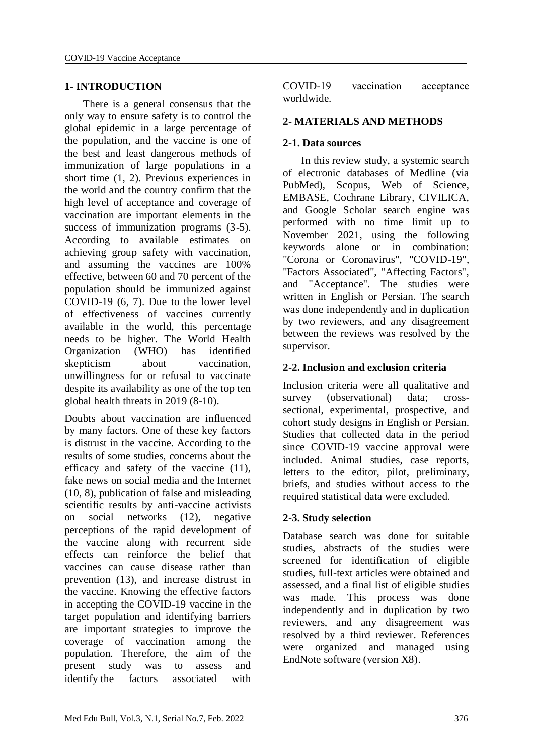#### **1- INTRODUCTION**

 There is a general consensus that the only way to ensure safety is to control the global epidemic in a large percentage of the population, and the vaccine is one of the best and least dangerous methods of immunization of large populations in a short time (1, 2). Previous experiences in the world and the country confirm that the high level of acceptance and coverage of vaccination are important elements in the success of immunization programs (3-5). According to available estimates on achieving group safety with vaccination, and assuming the vaccines are 100% effective, between 60 and 70 percent of the population should be immunized against COVID-19 (6, 7). Due to the lower level of effectiveness of vaccines currently available in the world, this percentage needs to be higher. The World Health Organization (WHO) has identified skepticism about vaccination, unwillingness for or refusal to vaccinate despite its availability as one of the top ten global health threats in 2019 (8-10).

Doubts about vaccination are influenced by many factors. One of these key factors is distrust in the vaccine. According to the results of some studies, concerns about the efficacy and safety of the vaccine (11), fake news on social media and the Internet (10, 8), publication of false and misleading scientific results by anti-vaccine activists on social networks (12), negative perceptions of the rapid development of the vaccine along with recurrent side effects can reinforce the belief that vaccines can cause disease rather than prevention (13), and increase distrust in the vaccine. Knowing the effective factors in accepting the COVID-19 vaccine in the target population and identifying barriers are important strategies to improve the coverage of vaccination among the population. Therefore, the aim of the present study was to assess and identify the factors associated with

COVID‐19 vaccination acceptance worldwide.

#### **2- MATERIALS AND METHODS**

#### **2-1. Data sources**

 In this review study, a systemic search of electronic databases of Medline (via PubMed), Scopus, Web of Science, EMBASE, Cochrane Library, CIVILICA, and Google Scholar search engine was performed with no time limit up to November 2021, using the following keywords alone or in combination: "Corona or Coronavirus", "COVID-19", "Factors Associated", "Affecting Factors", and "Acceptance". The studies were written in English or Persian. The search was done independently and in duplication by two reviewers, and any disagreement between the reviews was resolved by the supervisor.

#### **2-2. Inclusion and exclusion criteria**

Inclusion criteria were all qualitative and survey (observational) data; crosssectional, experimental, prospective, and cohort study designs in English or Persian. Studies that collected data in the period since COVID-19 vaccine approval were included. Animal studies, case reports, letters to the editor, pilot, preliminary, briefs, and studies without access to the required statistical data were excluded.

#### **2-3. Study selection**

Database search was done for suitable studies, abstracts of the studies were screened for identification of eligible studies, full-text articles were obtained and assessed, and a final list of eligible studies was made. This process was done independently and in duplication by two reviewers, and any disagreement was resolved by a third reviewer. References were organized and managed using EndNote software (version X8).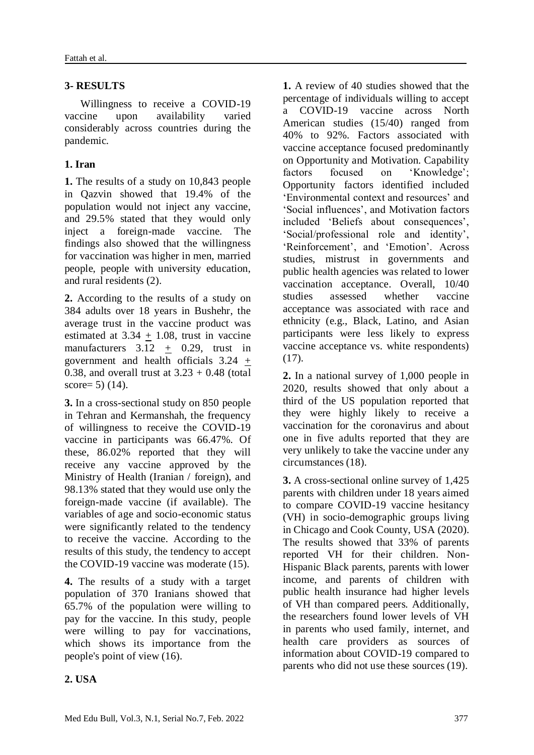#### **3- RESULTS**

 Willingness to receive a COVID-19 vaccine upon availability varied considerably across countries during the pandemic.

### **1. Iran**

**1.** The results of a study on 10,843 people in Qazvin showed that 19.4% of the population would not inject any vaccine, and 29.5% stated that they would only inject a foreign-made vaccine. The findings also showed that the willingness for vaccination was higher in men, married people, people with university education, and rural residents (2).

**2.** According to the results of a study on 384 adults over 18 years in Bushehr, the average trust in the vaccine product was estimated at  $3.34 + 1.08$ , trust in vaccine manufacturers  $3.12 \pm 0.29$ , trust in government and health officials  $3.24 \pm$ 0.38, and overall trust at  $3.23 + 0.48$  (total score=  $5)$  (14).

**3.** In a cross-sectional study on 850 people in Tehran and Kermanshah, the frequency of willingness to receive the COVID-19 vaccine in participants was 66.47%. Of these, 86.02% reported that they will receive any vaccine approved by the Ministry of Health (Iranian / foreign), and 98.13% stated that they would use only the foreign-made vaccine (if available). The variables of age and socio-economic status were significantly related to the tendency to receive the vaccine. According to the results of this study, the tendency to accept the COVID-19 vaccine was moderate (15).

**4.** The results of a study with a target population of 370 Iranians showed that 65.7% of the population were willing to pay for the vaccine. In this study, people were willing to pay for vaccinations, which shows its importance from the people's point of view (16).

**1.** A review of 40 studies showed that the percentage of individuals willing to accept a COVID-19 vaccine across North American studies (15/40) ranged from 40% to 92%. Factors associated with vaccine acceptance focused predominantly on Opportunity and Motivation. Capability factors focused on 'Knowledge'; Opportunity factors identified included 'Environmental context and resources' and 'Social influences', and Motivation factors included 'Beliefs about consequences', 'Social/professional role and identity', 'Reinforcement', and 'Emotion'. Across studies, mistrust in governments and public health agencies was related to lower vaccination acceptance. Overall, 10/40 studies assessed whether vaccine acceptance was associated with race and ethnicity (e.g., Black, Latino, and Asian participants were less likely to express vaccine acceptance vs. white respondents) (17).

**2.** In a national survey of 1,000 people in 2020, results showed that only about a third of the US population reported that they were highly likely to receive a vaccination for the coronavirus and about one in five adults reported that they are very unlikely to take the vaccine under any circumstances (18).

**3.** A cross-sectional online survey of 1,425 parents with children under 18 years aimed to compare COVID-19 vaccine hesitancy (VH) in socio-demographic groups living in Chicago and Cook County, USA (2020). The results showed that 33% of parents reported VH for their children. Non-Hispanic Black parents, parents with lower income, and parents of children with public health insurance had higher levels of VH than compared peers. Additionally, the researchers found lower levels of VH in parents who used family, internet, and health care providers as sources of information about COVID-19 compared to parents who did not use these sources (19).

### **2. USA**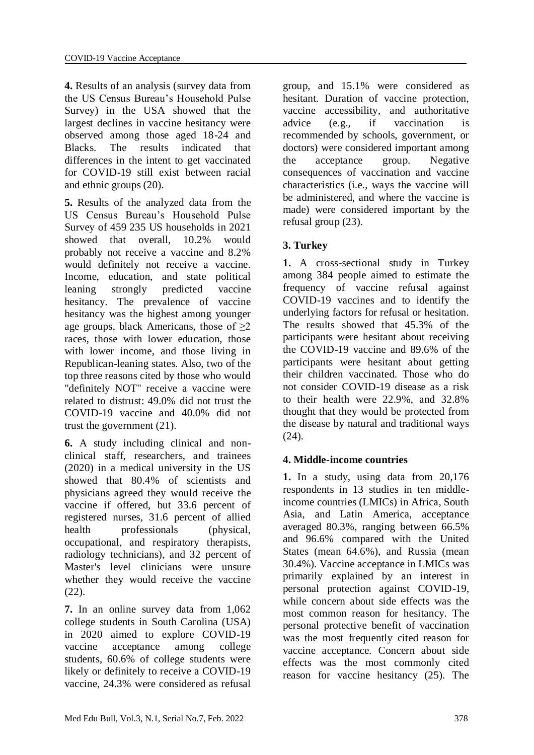**4.** Results of an analysis (survey data from the US Census Bureau's Household Pulse Survey) in the USA showed that the largest declines in vaccine hesitancy were observed among those aged 18-24 and Blacks. The results indicated that differences in the intent to get vaccinated for COVID-19 still exist between racial and ethnic groups (20).

**5.** Results of the analyzed data from the US Census Bureau's Household Pulse Survey of 459 235 US households in 2021 showed that overall, 10.2% would probably not receive a vaccine and 8.2% would definitely not receive a vaccine. Income, education, and state political leaning strongly predicted vaccine hesitancy. The prevalence of vaccine hesitancy was the highest among younger age groups, black Americans, those of  $\geq 2$ races, those with lower education, those with lower income, and those living in Republican-leaning states. Also, two of the top three reasons cited by those who would "definitely NOT" receive a vaccine were related to distrust: 49.0% did not trust the COVID-19 vaccine and 40.0% did not trust the government (21).

**6.** A study including clinical and nonclinical staff, researchers, and trainees (2020) in a medical university in the US showed that 80.4% of scientists and physicians agreed they would receive the vaccine if offered, but 33.6 percent of registered nurses, 31.6 percent of allied health professionals (physical, occupational, and respiratory therapists, radiology technicians), and 32 percent of Master's level clinicians were unsure whether they would receive the vaccine (22).

**7.** In an online survey data from 1,062 college students in South Carolina (USA) in 2020 aimed to explore COVID-19 vaccine acceptance among college students, 60.6% of college students were likely or definitely to receive a COVID-19 vaccine, 24.3% were considered as refusal

group, and 15.1% were considered as hesitant. Duration of vaccine protection, vaccine accessibility, and authoritative advice (e.g., if vaccination is recommended by schools, government, or doctors) were considered important among the acceptance group. Negative consequences of vaccination and vaccine characteristics (i.e., ways the vaccine will be administered, and where the vaccine is made) were considered important by the refusal group (23).

# **3. Turkey**

**1.** A cross-sectional study in Turkey among 384 people aimed to estimate the frequency of vaccine refusal against COVID-19 vaccines and to identify the underlying factors for refusal or hesitation. The results showed that 45.3% of the participants were hesitant about receiving the COVID-19 vaccine and 89.6% of the participants were hesitant about getting their children vaccinated. Those who do not consider COVID-19 disease as a risk to their health were 22.9%, and 32.8% thought that they would be protected from the disease by natural and traditional ways (24).

### **4. Middle-income countries**

**1.** In a study, using data from 20,176 respondents in 13 studies in ten middleincome countries (LMICs) in Africa, South Asia, and Latin America, acceptance averaged 80.3%, ranging between 66.5% and 96.6% compared with the United States (mean 64.6%), and Russia (mean 30.4%). Vaccine acceptance in LMICs was primarily explained by an interest in personal protection against COVID-19, while concern about side effects was the most common reason for hesitancy. The personal protective benefit of vaccination was the most frequently cited reason for vaccine acceptance. Concern about side effects was the most commonly cited reason for vaccine hesitancy (25). The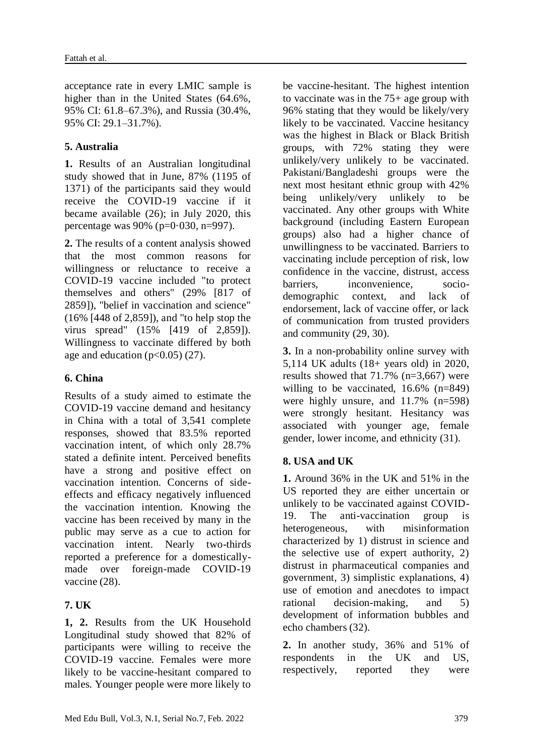acceptance rate in every LMIC sample is higher than in the United States (64.6%, 95% CI: 61.8–67.3%), and Russia (30.4%, 95% CI: 29.1–31.7%).

### **5. Australia**

**1.** Results of an Australian longitudinal study showed that in June, 87% (1195 of 1371) of the participants said they would receive the COVID-19 vaccine if it became available (26); in July 2020, this percentage was 90% (p=0·030, n=997).

**2.** The results of a content analysis showed that the most common reasons for willingness or reluctance to receive a COVID-19 vaccine included "to protect themselves and others" (29% [817 of 2859]), "belief in vaccination and science" (16% [448 of 2,859]), and "to help stop the virus spread" (15% [419 of 2,859]). Willingness to vaccinate differed by both age and education  $(p<0.05)$  (27).

### **6. China**

Results of a study aimed to estimate the COVID-19 vaccine demand and hesitancy in China with a total of 3,541 complete responses, showed that 83.5% reported vaccination intent, of which only 28.7% stated a definite intent. Perceived benefits have a strong and positive effect on vaccination intention. Concerns of sideeffects and efficacy negatively influenced the vaccination intention. Knowing the vaccine has been received by many in the public may serve as a cue to action for vaccination intent. Nearly two-thirds reported a preference for a domesticallymade over foreign-made COVID-19 vaccine (28).

### **7. UK**

**1, 2.** Results from the UK Household Longitudinal study showed that 82% of participants were willing to receive the COVID-19 vaccine. Females were more likely to be vaccine-hesitant compared to males. Younger people were more likely to be vaccine-hesitant. The highest intention to vaccinate was in the 75+ age group with 96% stating that they would be likely/very likely to be vaccinated. Vaccine hesitancy was the highest in Black or Black British groups, with 72% stating they were unlikely/very unlikely to be vaccinated. Pakistani/Bangladeshi groups were the next most hesitant ethnic group with 42% being unlikely/very unlikely to be vaccinated. Any other groups with White background (including Eastern European groups) also had a higher chance of unwillingness to be vaccinated. Barriers to vaccinating include perception of risk, low confidence in the vaccine, distrust, access barriers, inconvenience, sociodemographic context, and lack of endorsement, lack of vaccine offer, or lack of communication from trusted providers and community (29, 30).

**3.** In a non-probability online survey with 5,114 UK adults (18+ years old) in 2020, results showed that 71.7% (n=3,667) were willing to be vaccinated, 16.6% (n=849) were highly unsure, and 11.7% (n=598) were strongly hesitant. Hesitancy was associated with younger age, female gender, lower income, and ethnicity (31).

### **8. USA and UK**

**1.** Around 36% in the UK and 51% in the US reported they are either uncertain or unlikely to be vaccinated against COVID-19. The anti-vaccination group heterogeneous, with misinformation characterized by 1) distrust in science and the selective use of expert authority, 2) distrust in pharmaceutical companies and government, 3) simplistic explanations, 4) use of emotion and anecdotes to impact rational decision-making, and 5) development of information bubbles and echo chambers (32).

**2.** In another study, 36% and 51% of respondents in the UK and US, respectively, reported they were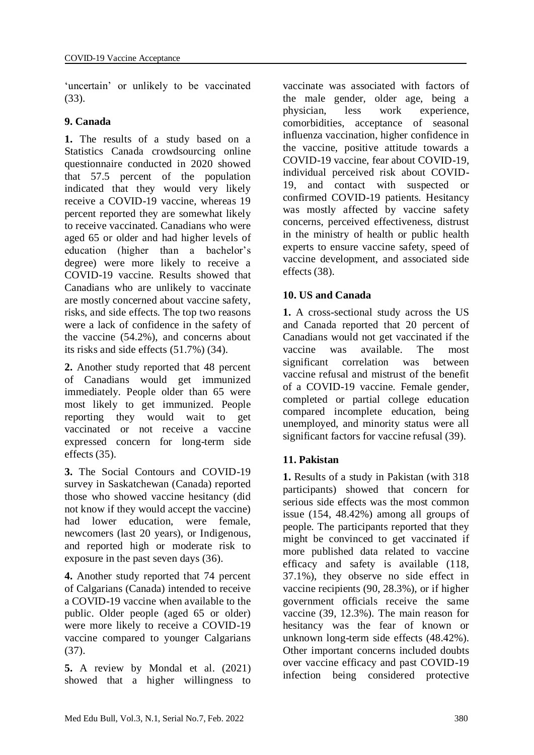'uncertain' or unlikely to be vaccinated (33).

#### **9. Canada**

**1.** The results of a study based on a Statistics Canada crowdsourcing online questionnaire conducted in 2020 showed that 57.5 percent of the population indicated that they would very likely receive a COVID-19 vaccine, whereas 19 percent reported they are somewhat likely to receive vaccinated. Canadians who were aged 65 or older and had higher levels of education (higher than a bachelor's degree) were more likely to receive a COVID-19 vaccine. Results showed that Canadians who are unlikely to vaccinate are mostly concerned about vaccine safety, risks, and side effects. The top two reasons were a lack of confidence in the safety of the vaccine (54.2%), and concerns about its risks and side effects (51.7%) (34).

**2.** Another study reported that 48 percent of Canadians would get immunized immediately. People older than 65 were most likely to get immunized. People reporting they would wait to get vaccinated or not receive a vaccine expressed concern for long-term side effects (35).

**3.** The Social Contours and COVID-19 survey in Saskatchewan (Canada) reported those who showed vaccine hesitancy (did not know if they would accept the vaccine) had lower education, were female, newcomers (last 20 years), or Indigenous, and reported high or moderate risk to exposure in the past seven days (36).

**4.** Another study reported that 74 percent of Calgarians (Canada) intended to receive a COVID-19 vaccine when available to the public. Older people (aged 65 or older) were more likely to receive a COVID-19 vaccine compared to younger Calgarians (37).

**5.** A review by Mondal et al. (2021) showed that a higher willingness to vaccinate was associated with factors of the male gender, older age, being a physician, less work experience, comorbidities, acceptance of seasonal influenza vaccination, higher confidence in the vaccine, positive attitude towards a COVID-19 vaccine, fear about COVID-19, individual perceived risk about COVID-19, and contact with suspected or confirmed COVID-19 patients. Hesitancy was mostly affected by vaccine safety concerns, perceived effectiveness, distrust in the ministry of health or public health experts to ensure vaccine safety, speed of vaccine development, and associated side effects (38).

### **10. US and Canada**

**1.** A cross-sectional study across the US and Canada reported that 20 percent of Canadians would not get vaccinated if the vaccine was available. The most significant correlation was between vaccine refusal and mistrust of the benefit of a COVID-19 vaccine. Female gender, completed or partial college education compared incomplete education, being unemployed, and minority status were all significant factors for vaccine refusal (39).

### **11. Pakistan**

**1.** Results of a study in Pakistan (with 318 participants) showed that concern for serious side effects was the most common issue (154, 48.42%) among all groups of people. The participants reported that they might be convinced to get vaccinated if more published data related to vaccine efficacy and safety is available (118, 37.1%), they observe no side effect in vaccine recipients (90, 28.3%), or if higher government officials receive the same vaccine (39, 12.3%). The main reason for hesitancy was the fear of known or unknown long-term side effects (48.42%). Other important concerns included doubts over vaccine efficacy and past COVID-19 infection being considered protective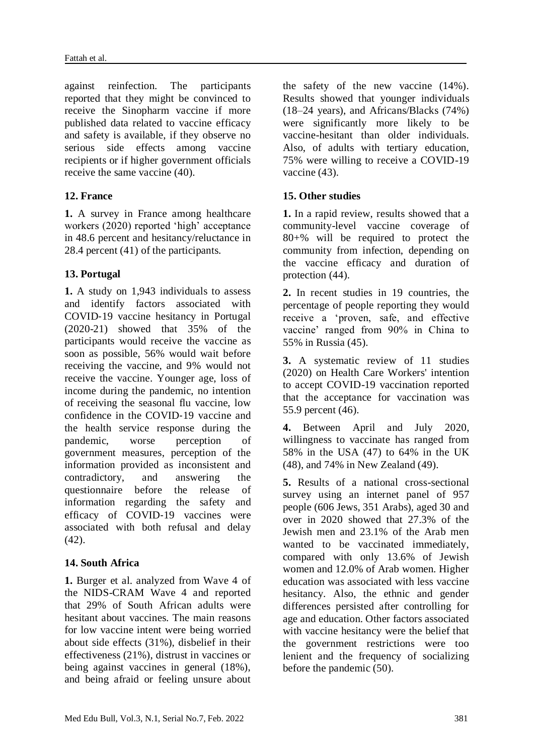against reinfection. The participants reported that they might be convinced to receive the Sinopharm vaccine if more published data related to vaccine efficacy and safety is available, if they observe no serious side effects among vaccine recipients or if higher government officials receive the same vaccine (40).

### **12. France**

**1.** A survey in France among healthcare workers (2020) reported 'high' acceptance in 48.6 percent and hesitancy/reluctance in 28.4 percent (41) of the participants.

# **13. Portugal**

**1.** A study on 1,943 individuals to assess and identify factors associated with COVID‐19 vaccine hesitancy in Portugal (2020-21) showed that 35% of the participants would receive the vaccine as soon as possible, 56% would wait before receiving the vaccine, and 9% would not receive the vaccine. Younger age, loss of income during the pandemic, no intention of receiving the seasonal flu vaccine, low confidence in the COVID‐19 vaccine and the health service response during the pandemic, worse perception of government measures, perception of the information provided as inconsistent and contradictory, and answering the questionnaire before the release of information regarding the safety and efficacy of COVID‐19 vaccines were associated with both refusal and delay (42).

### **14. South Africa**

**1.** Burger et al. analyzed from Wave 4 of the NIDS-CRAM Wave 4 and reported that 29% of South African adults were hesitant about vaccines. The main reasons for low vaccine intent were being worried about side effects (31%), disbelief in their effectiveness (21%), distrust in vaccines or being against vaccines in general (18%), and being afraid or feeling unsure about the safety of the new vaccine (14%). Results showed that younger individuals (18–24 years), and Africans/Blacks (74%) were significantly more likely to be vaccine-hesitant than older individuals. Also, of adults with tertiary education, 75% were willing to receive a COVID-19 vaccine (43).

### **15. Other studies**

**1.** In a rapid review, results showed that a community-level vaccine coverage of 80+% will be required to protect the community from infection, depending on the vaccine efficacy and duration of protection  $(44)$ .

**2.** In recent studies in 19 countries, the percentage of people reporting they would receive a 'proven, safe, and effective vaccine' ranged from 90% in China to 55% in Russia (45).

**3.** A systematic review of 11 studies (2020) on Health Care Workers' intention to accept COVID-19 vaccination reported that the acceptance for vaccination was 55.9 percent (46).

**4.** Between April and July 2020, willingness to vaccinate has ranged from 58% in the USA (47) to 64% in the UK (48), and 74% in New Zealand (49).

**5.** Results of a national cross-sectional survey using an internet panel of 957 people (606 Jews, 351 Arabs), aged 30 and over in 2020 showed that 27.3% of the Jewish men and 23.1% of the Arab men wanted to be vaccinated immediately, compared with only 13.6% of Jewish women and 12.0% of Arab women. Higher education was associated with less vaccine hesitancy. Also, the ethnic and gender differences persisted after controlling for age and education. Other factors associated with vaccine hesitancy were the belief that the government restrictions were too lenient and the frequency of socializing before the pandemic (50).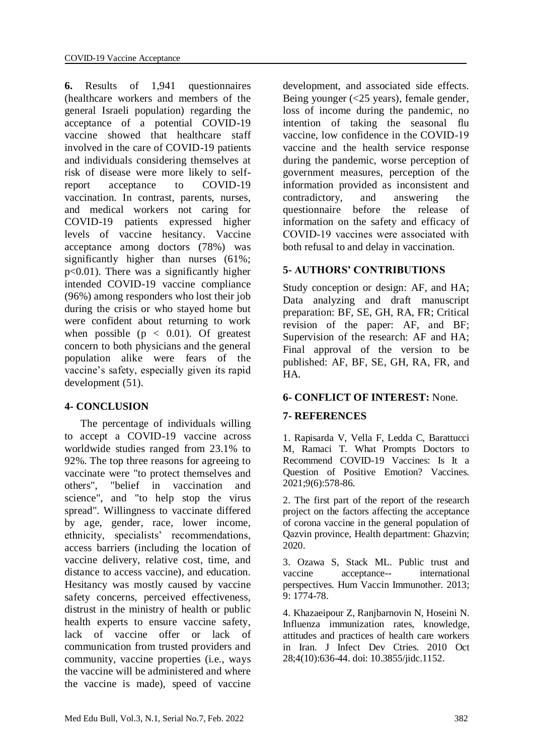**6.** Results of 1,941 questionnaires (healthcare workers and members of the general Israeli population) regarding the acceptance of a potential COVID-19 vaccine showed that healthcare staff involved in the care of COVID-19 patients and individuals considering themselves at risk of disease were more likely to selfreport acceptance to COVID-19 vaccination. In contrast, parents, nurses, and medical workers not caring for COVID-19 patients expressed higher levels of vaccine hesitancy. Vaccine acceptance among doctors (78%) was significantly higher than nurses (61%; p<0.01). There was a significantly higher intended COVID-19 vaccine compliance (96%) among responders who lost their job during the crisis or who stayed home but were confident about returning to work when possible ( $p < 0.01$ ). Of greatest concern to both physicians and the general population alike were fears of the vaccine's safety, especially given its rapid development (51).

#### **4- CONCLUSION**

 The percentage of individuals willing to accept a COVID-19 vaccine across worldwide studies ranged from 23.1% to 92%. The top three reasons for agreeing to vaccinate were "to protect themselves and others", "belief in vaccination and science", and "to help stop the virus spread". Willingness to vaccinate differed by age, gender, race, lower income, ethnicity, specialists' recommendations, access barriers (including the location of vaccine delivery, relative cost, time, and distance to access vaccine), and education. Hesitancy was mostly caused by vaccine safety concerns, perceived effectiveness, distrust in the ministry of health or public health experts to ensure vaccine safety, lack of vaccine offer or lack of communication from trusted providers and community, vaccine properties (i.e., ways the vaccine will be administered and where the vaccine is made), speed of vaccine

development, and associated side effects. Being younger (<25 years), female gender, loss of income during the pandemic, no intention of taking the seasonal flu vaccine, low confidence in the COVID‐19 vaccine and the health service response during the pandemic, worse perception of government measures, perception of the information provided as inconsistent and contradictory, and answering the questionnaire before the release of information on the safety and efficacy of COVID‐19 vaccines were associated with both refusal to and delay in vaccination.

#### **5- AUTHORS' CONTRIBUTIONS**

Study conception or design: AF, and HA; Data analyzing and draft manuscript preparation: BF, SE, GH, RA, FR; Critical revision of the paper: AF, and BF; Supervision of the research: AF and HA; Final approval of the version to be published: AF, BF, SE, GH, RA, FR, and HA.

### **6- CONFLICT OF INTEREST:** None.

### **7- REFERENCES**

1. Rapisarda V, Vella F, Ledda C, Barattucci M, Ramaci T. What Prompts Doctors to Recommend COVID-19 Vaccines: Is It a Question of Positive Emotion? Vaccines. 2021;9(6):578-86.

2. The first part of the report of the research project on the factors affecting the acceptance of corona vaccine in the general population of Qazvin province, Health department: Ghazvin; 2020.

3. Ozawa S, Stack ML. Public trust and vaccine acceptance-- international perspectives. Hum Vaccin Immunother. 2013; 9: 1774-78.

4. Khazaeipour Z, Ranjbarnovin N, Hoseini N. Influenza immunization rates, knowledge, attitudes and practices of health care workers in Iran. J Infect Dev Ctries. 2010 Oct 28;4(10):636-44. doi: 10.3855/jidc.1152.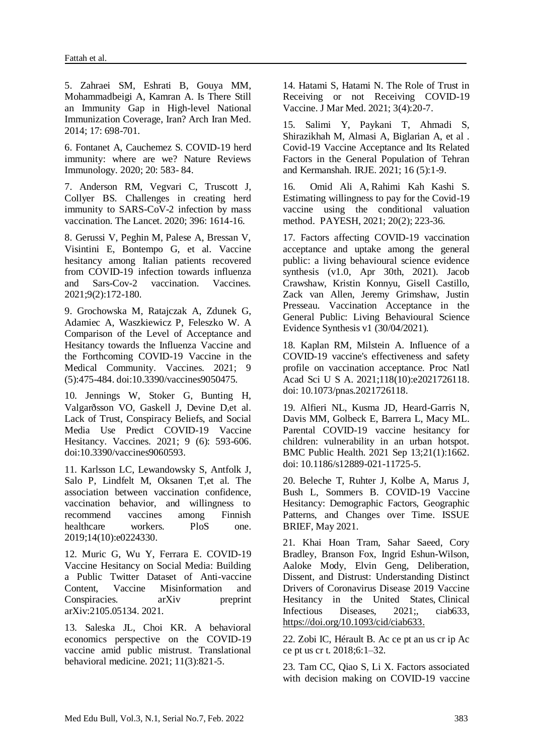5. Zahraei SM, Eshrati B, Gouya MM, Mohammadbeigi A, Kamran A. Is There Still an Immunity Gap in High-level National Immunization Coverage, Iran? Arch Iran Med. 2014; 17: 698-701.

6. Fontanet A, Cauchemez S. COVID-19 herd immunity: where are we? Nature Reviews Immunology. 2020; 20: 583- 84.

7. Anderson RM, Vegvari C, Truscott J, Collyer BS. Challenges in creating herd immunity to SARS-CoV-2 infection by mass vaccination. The Lancet. 2020; 396: 1614-16.

8. Gerussi V, Peghin M, Palese A, Bressan V, Visintini E, Bontempo G, et al. Vaccine hesitancy among Italian patients recovered from COVID-19 infection towards influenza and Sars-Cov-2 vaccination. Vaccines. 2021;9(2):172-180.

9. Grochowska M, Ratajczak A, Zdunek G, Adamiec A, Waszkiewicz P, Feleszko W. A Comparison of the Level of Acceptance and Hesitancy towards the Influenza Vaccine and the Forthcoming COVID-19 Vaccine in the Medical Community. Vaccines. 2021; 9 (5):475-484. doi:10.3390/vaccines9050475.

10. Jennings W, Stoker G, Bunting H, Valgarðsson VO, Gaskell J, Devine D,et al. Lack of Trust, Conspiracy Beliefs, and Social Media Use Predict COVID-19 Vaccine Hesitancy. Vaccines. 2021; 9 (6): 593-606. doi:10.3390/vaccines9060593.

11. Karlsson LC, Lewandowsky S, Antfolk J, Salo P, Lindfelt M, Oksanen T,et al. The association between vaccination confidence, vaccination behavior, and willingness to recommend vaccines among Finnish healthcare workers. PloS one. 2019;14(10):e0224330.

12. Muric G, Wu Y, Ferrara E. COVID-19 Vaccine Hesitancy on Social Media: Building a Public Twitter Dataset of Anti-vaccine Content, Vaccine Misinformation and Conspiracies. arXiv preprint arXiv:2105.05134. 2021.

13. Saleska JL, Choi KR. A behavioral economics perspective on the COVID-19 vaccine amid public mistrust. Translational behavioral medicine. 2021; 11(3):821-5.

14. Hatami S, Hatami N. The Role of Trust in Receiving or not Receiving COVID-19 Vaccine. J Mar Med. 2021; 3(4):20-7.

15. Salimi Y, Paykani T, Ahmadi S, Shirazikhah M, Almasi A, Biglarian A, et al . Covid-19 Vaccine Acceptance and Its Related Factors in the General Population of Tehran and Kermanshah. IRJE. 2021; 16 (5):1-9.

16. [Omid](https://www.sid.ir/en/journal/SearchPaper.aspx?writer=758000) Ali A, [Rahimi Kah Kashi S.](https://www.sid.ir/en/journal/SearchPaper.aspx?writer=980891) Estimating willingness to pay for the Covid-19 vaccine using the conditional valuation method. [PAYESH,](https://www.sid.ir/en/journal/JournalList.aspx?ID=270) [2021; 20\(2\);](https://www.sid.ir/en/journal/JournalListPaper.aspx?ID=312105) 223-36.

17. Factors affecting COVID-19 vaccination acceptance and uptake among the general public: a living behavioural science evidence synthesis (v1.0, Apr 30th, 2021). Jacob Crawshaw, Kristin Konnyu, Gisell Castillo, Zack van Allen, Jeremy Grimshaw, Justin Presseau. Vaccination Acceptance in the General Public: Living Behavioural Science Evidence Synthesis v1 (30/04/2021).

18. Kaplan RM, Milstein A. Influence of a COVID-19 vaccine's effectiveness and safety profile on vaccination acceptance. Proc Natl Acad Sci U S A. 2021;118(10):e2021726118. doi: 10.1073/pnas.2021726118.

19. Alfieri NL, Kusma JD, Heard-Garris N, Davis MM, Golbeck E, Barrera L, Macy ML. Parental COVID-19 vaccine hesitancy for children: vulnerability in an urban hotspot. BMC Public Health. 2021 Sep 13;21(1):1662. doi: 10.1186/s12889-021-11725-5.

20. Beleche T, Ruhter J, Kolbe A, Marus J, Bush L, Sommers B. COVID-19 Vaccine Hesitancy: Demographic Factors, Geographic Patterns, and Changes over Time. ISSUE BRIEF, May 2021.

21. Khai Hoan Tram, Sahar Saeed, Cory Bradley, Branson Fox, Ingrid Eshun-Wilson, Aaloke Mody, Elvin Geng, Deliberation, Dissent, and Distrust: Understanding Distinct Drivers of Coronavirus Disease 2019 Vaccine Hesitancy in the United States, Clinical Infectious Diseases, 2021;, ciab633, [https://doi.org/10.1093/cid/ciab633.](https://doi.org/10.1093/cid/ciab633)

22. Zobi IC, Hérault B. Ac ce pt an us cr ip Ac ce pt us cr t. 2018;6:1–32.

23. Tam CC, Qiao S, Li X. Factors associated with decision making on COVID-19 vaccine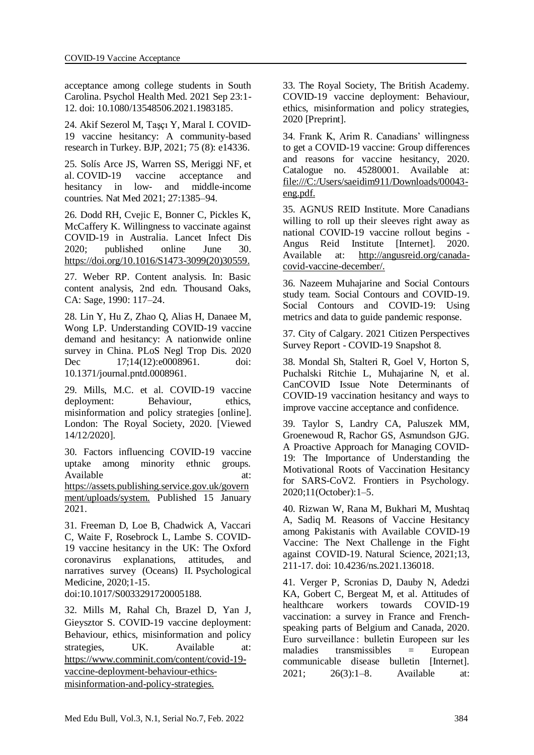acceptance among college students in South Carolina. Psychol Health Med. 2021 Sep 23:1- 12. doi: 10.1080/13548506.2021.1983185.

24. [Akif Sezerol](https://onlinelibrary.wiley.com/action/doSearch?ContribAuthorRaw=Akif+Sezerol%2C+Mehmet) M, [Taşçı](https://onlinelibrary.wiley.com/action/doSearch?ContribAuthorRaw=Ta%C5%9F%C3%A7%C4%B1%2C+Yusuf) Y, [Maral](https://onlinelibrary.wiley.com/action/doSearch?ContribAuthorRaw=Maral%2C+I%C5%9F%C4%B1l) I. COVID-19 vaccine hesitancy: A community-based research in Turkey. BJP, 2021; 75 (8): e14336.

25. Solís Arce JS, Warren SS, Meriggi NF, et al. COVID-19 vaccine acceptance and hesitancy in low- and middle-income countries. Nat Med 2021; 27:1385–94.

26. Dodd RH, Cvejic E, Bonner C, Pickles K, McCaffery K. Willingness to vaccinate against COVID-19 in Australia. Lancet Infect Dis 2020; published online June 30. https://doi.org/10.1016/S1473-3099(20)30559.

27. Weber RP. Content analysis. In: Basic content analysis, 2nd edn. Thousand Oaks, CA: Sage, 1990: 117–24.

28. Lin Y, Hu Z, Zhao Q, Alias H, Danaee M, Wong LP. Understanding COVID-19 vaccine demand and hesitancy: A nationwide online survey in China. PLoS Negl Trop Dis. 2020 Dec 17;14(12):e0008961. doi: 10.1371/journal.pntd.0008961.

29. Mills, M.C. et al. COVID-19 vaccine deployment: Behaviour, ethics, misinformation and policy strategies [online]. London: The Royal Society, 2020. [Viewed 14/12/2020].

30. Factors influencing COVID-19 vaccine uptake among minority ethnic groups. Available at: https://assets.publishing.service.gov.uk/govern ment/uploads/system. Published 15 January 2021.

31. Freeman D, Loe B, Chadwick A, Vaccari C, Waite F, Rosebrock L, Lambe S. COVID-19 vaccine hesitancy in the UK: The Oxford coronavirus explanations, attitudes, and narratives survey (Oceans) II. Psychological Medicine, 2020;1-15.

doi:10.1017/S0033291720005188.

32. Mills M, Rahal Ch, Brazel D, Yan J, Gieysztor S. COVID-19 vaccine deployment: Behaviour, ethics, misinformation and policy strategies, UK. Available at: https://www.comminit.com/content/covid-19 vaccine-deployment-behaviour-ethicsmisinformation-and-policy-strategies.

33. The Royal Society, The British Academy. COVID-19 vaccine deployment: Behaviour, ethics, misinformation and policy strategies, 2020 [Preprint].

34. Frank K, Arim R. Canadians' willingness to get a COVID-19 vaccine: Group differences and reasons for vaccine hesitancy, 2020. Catalogue no. 45280001. Available at: file:///C:/Users/saeidim911/Downloads/00043 eng.pdf.

35. AGNUS REID Institute. More Canadians willing to roll up their sleeves right away as national COVID-19 vaccine rollout begins - Angus Reid Institute [Internet]. 2020. Available at: http://angusreid.org/canadacovid-vaccine-december/.

36. Nazeem Muhajarine and Social Contours study team. Social Contours and COVID-19. Social Contours and COVID-19: Using metrics and data to guide pandemic response.

37. City of Calgary. 2021 Citizen Perspectives Survey Report - COVID-19 Snapshot 8.

38. Mondal Sh, Stalteri R, Goel V, Horton S, Puchalski Ritchie L, Muhajarine N, et al. CanCOVID Issue Note Determinants of COVID-19 vaccination hesitancy and ways to improve vaccine acceptance and confidence.

39. Taylor S, Landry CA, Paluszek MM, Groenewoud R, Rachor GS, Asmundson GJG. A Proactive Approach for Managing COVID-19: The Importance of Understanding the Motivational Roots of Vaccination Hesitancy for SARS-CoV2. Frontiers in Psychology. 2020;11(October):1–5.

40. Rizwan W, Rana M, Bukhari M, Mushtaq A, Sadiq M. Reasons of Vaccine Hesitancy among Pakistanis with Available COVID-19 Vaccine: The Next Challenge in the Fight against COVID-19. Natural Science, 2021;13, 211-17. doi: [10.4236/ns.2021.136018.](https://doi.org/10.4236/ns.2021.136018)

41. Verger P, Scronias D, Dauby N, Adedzi KA, Gobert C, Bergeat M, et al. Attitudes of healthcare workers towards COVID-19 vaccination: a survey in France and Frenchspeaking parts of Belgium and Canada, 2020. Euro surveillance : bulletin Europeen sur les maladies transmissibles = European communicable disease bulletin [Internet]. 2021; 26(3):1–8. Available at: